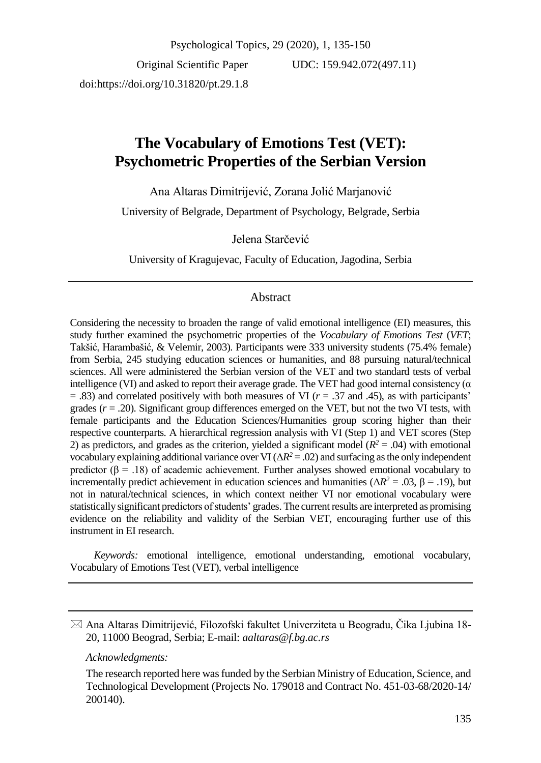Psychological Topics, 29 (2020), 1, 135-150

Original Scientific Paper doi:https://doi.org/10.31820/pt.29.1.8

UDC: 159.942.072(497.11)

# **The Vocabulary of Emotions Test (VET): Psychometric Properties of the Serbian Version**

Ana Altaras Dimitrijević, Zorana Jolić Marjanović

University of Belgrade, Department of Psychology, Belgrade, Serbia

Jelena Starčević

University of Kragujevac, Faculty of Education, Jagodina, Serbia

## Abstract

Considering the necessity to broaden the range of valid emotional intelligence (EI) measures, this study further examined the psychometric properties of the *Vocabulary of Emotions Test* (*VET*; Takšić, Harambašić, & Velemir, 2003). Participants were 333 university students (75.4% female) from Serbia, 245 studying education sciences or humanities, and 88 pursuing natural/technical sciences. All were administered the Serbian version of the VET and two standard tests of verbal intelligence (VI) and asked to report their average grade. The VET had good internal consistency ( $\alpha$ )  $=$  .83) and correlated positively with both measures of VI ( $r = .37$  and .45), as with participants' grades  $(r = .20)$ . Significant group differences emerged on the VET, but not the two VI tests, with female participants and the Education Sciences/Humanities group scoring higher than their respective counterparts. A hierarchical regression analysis with VI (Step 1) and VET scores (Step 2) as predictors, and grades as the criterion, yielded a significant model ( $R<sup>2</sup> = .04$ ) with emotional vocabulary explaining additional variance over VI ( $\Delta R^2$  = .02) and surfacing as the only independent predictor ( $\beta = .18$ ) of academic achievement. Further analyses showed emotional vocabulary to incrementally predict achievement in education sciences and humanities ( $ΔR<sup>2</sup> = .03$ ,  $β = .19$ ), but not in natural/technical sciences, in which context neither VI nor emotional vocabulary were statistically significant predictors of students' grades. The current results are interpreted as promising evidence on the reliability and validity of the Serbian VET, encouraging further use of this instrument in EI research.

*Keywords:* emotional intelligence, emotional understanding, emotional vocabulary, Vocabulary of Emotions Test (VET), verbal intelligence

#### *Acknowledgments:*

 $\boxtimes$  Ana Altaras Dimitrijević, Filozofski fakultet Univerziteta u Beogradu, Čika Ljubina 18-20, 11000 Beograd, Serbia; E-mail: *aaltaras@f.bg.ac.rs*

The research reported here was funded by the Serbian Ministry of Education, Science, and Technological Development (Projects No. 179018 and Contract No. 451-03-68/2020-14/ 200140).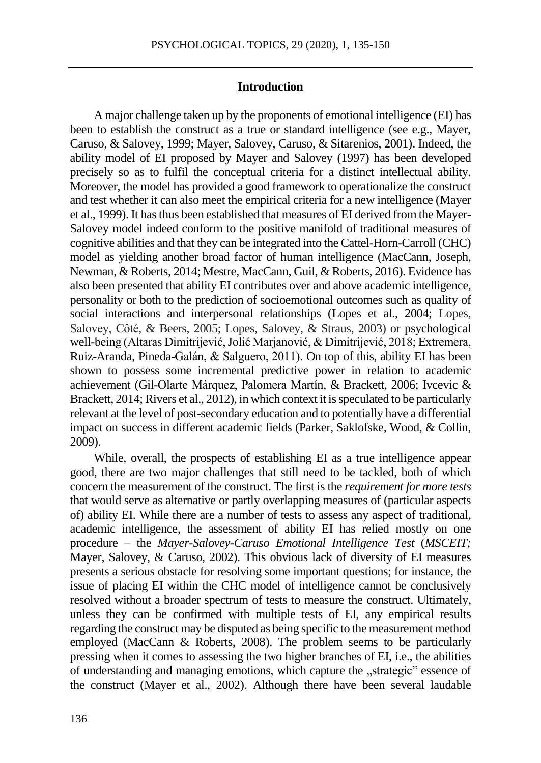#### **Introduction**

A major challenge taken up by the proponents of emotional intelligence (EI) has been to establish the construct as a true or standard intelligence (see e.g., Mayer, Caruso, & Salovey, 1999; Mayer, Salovey, Caruso, & Sitarenios, 2001). Indeed, the ability model of EI proposed by Mayer and Salovey (1997) has been developed precisely so as to fulfil the conceptual criteria for a distinct intellectual ability. Moreover, the model has provided a good framework to operationalize the construct and test whether it can also meet the empirical criteria for a new intelligence (Mayer et al., 1999). It has thus been established that measures of EI derived from the Mayer-Salovey model indeed conform to the positive manifold of traditional measures of cognitive abilities and that they can be integrated into the Cattel-Horn-Carroll (CHC) model as yielding another broad factor of human intelligence (MacCann, Joseph, Newman, & Roberts, 2014; Mestre, MacCann, Guil, & Roberts, 2016). Evidence has also been presented that ability EI contributes over and above academic intelligence, personality or both to the prediction of socioemotional outcomes such as quality of social interactions and interpersonal relationships (Lopes et al., 2004; Lopes, Salovey, Côté, & Beers, 2005; Lopes, Salovey, & Straus, 2003) or psychological well-being (Altaras Dimitrijević, Jolić Marjanović, & Dimitrijević, 2018; Extremera, Ruiz-Aranda, Pineda-Galán, & Salguero, 2011). On top of this, ability EI has been shown to possess some incremental predictive power in relation to academic achievement (Gil-Olarte Márquez, Palomera Martín, & Brackett, 2006; Ivcevic & Brackett, 2014; Rivers et al.,  $2012$ ), in which context it is speculated to be particularly relevant at the level of post-secondary education and to potentially have a differential impact on success in different academic fields (Parker, Saklofske, Wood, & Collin, 2009).

While, overall, the prospects of establishing EI as a true intelligence appear good, there are two major challenges that still need to be tackled, both of which concern the measurement of the construct. The first is the *requirement for more tests* that would serve as alternative or partly overlapping measures of (particular aspects of) ability EI. While there are a number of tests to assess any aspect of traditional, academic intelligence, the assessment of ability EI has relied mostly on one procedure – the *Mayer-Salovey-Caruso Emotional Intelligence Test* (*MSCEIT;*  Mayer, Salovey, & Caruso, 2002). This obvious lack of diversity of EI measures presents a serious obstacle for resolving some important questions; for instance, the issue of placing EI within the CHC model of intelligence cannot be conclusively resolved without a broader spectrum of tests to measure the construct. Ultimately, unless they can be confirmed with multiple tests of EI, any empirical results regarding the construct may be disputed as being specific to the measurement method employed (MacCann & Roberts, 2008). The problem seems to be particularly pressing when it comes to assessing the two higher branches of EI, i.e., the abilities of understanding and managing emotions, which capture the "strategic" essence of the construct (Mayer et al., 2002). Although there have been several laudable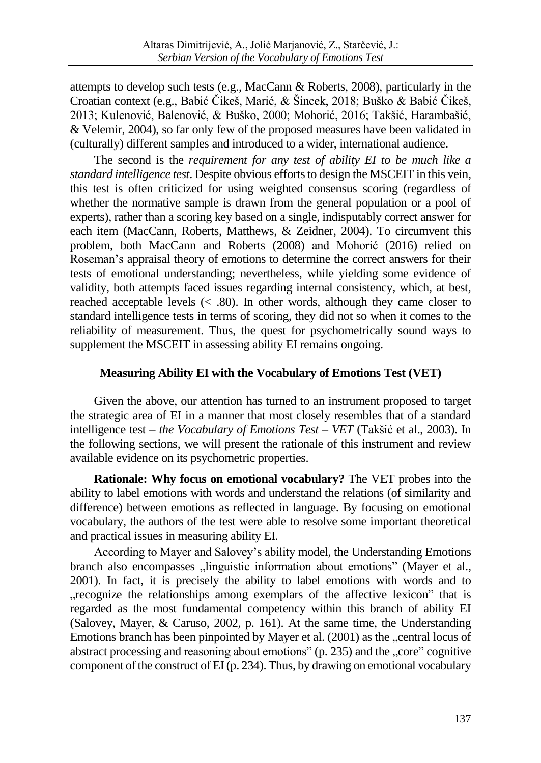attempts to develop such tests (e.g., MacCann & Roberts, 2008), particularly in the Croatian context (e.g., Babić Čikeš, Marić, & Šincek, 2018; Buško & Babić Čikeš, 2013; Kulenović, Balenović, & Buško, 2000; Mohorić, 2016; Takšić, Harambašić, & Velemir, 2004), so far only few of the proposed measures have been validated in (culturally) different samples and introduced to a wider, international audience.

The second is the *requirement for any test of ability EI to be much like a standard intelligence test*. Despite obvious efforts to design the MSCEIT in this vein, this test is often criticized for using weighted consensus scoring (regardless of whether the normative sample is drawn from the general population or a pool of experts), rather than a scoring key based on a single, indisputably correct answer for each item (MacCann, Roberts, Matthews, & Zeidner, 2004). To circumvent this problem, both MacCann and Roberts (2008) and Mohorić (2016) relied on Roseman's appraisal theory of emotions to determine the correct answers for their tests of emotional understanding; nevertheless, while yielding some evidence of validity, both attempts faced issues regarding internal consistency, which, at best, reached acceptable levels  $\langle \langle .80 \rangle$ . In other words, although they came closer to standard intelligence tests in terms of scoring, they did not so when it comes to the reliability of measurement. Thus, the quest for psychometrically sound ways to supplement the MSCEIT in assessing ability EI remains ongoing.

# **Measuring Ability EI with the Vocabulary of Emotions Test (VET)**

Given the above, our attention has turned to an instrument proposed to target the strategic area of EI in a manner that most closely resembles that of a standard intelligence test – *the Vocabulary of Emotions Test – VET* (Takšić et al., 2003). In the following sections, we will present the rationale of this instrument and review available evidence on its psychometric properties.

**Rationale: Why focus on emotional vocabulary?** The VET probes into the ability to label emotions with words and understand the relations (of similarity and difference) between emotions as reflected in language. By focusing on emotional vocabulary, the authors of the test were able to resolve some important theoretical and practical issues in measuring ability EI.

According to Mayer and Salovey's ability model, the Understanding Emotions branch also encompasses "linguistic information about emotions" (Mayer et al., 2001). In fact, it is precisely the ability to label emotions with words and to "recognize the relationships among exemplars of the affective lexicon" that is regarded as the most fundamental competency within this branch of ability EI (Salovey, Mayer, & Caruso, 2002, p. 161). At the same time, the Understanding Emotions branch has been pinpointed by Mayer et al.  $(2001)$  as the  $\alpha$  central locus of abstract processing and reasoning about emotions"  $(p. 235)$  and the  $C$ , core" cognitive component of the construct of EI (p. 234). Thus, by drawing on emotional vocabulary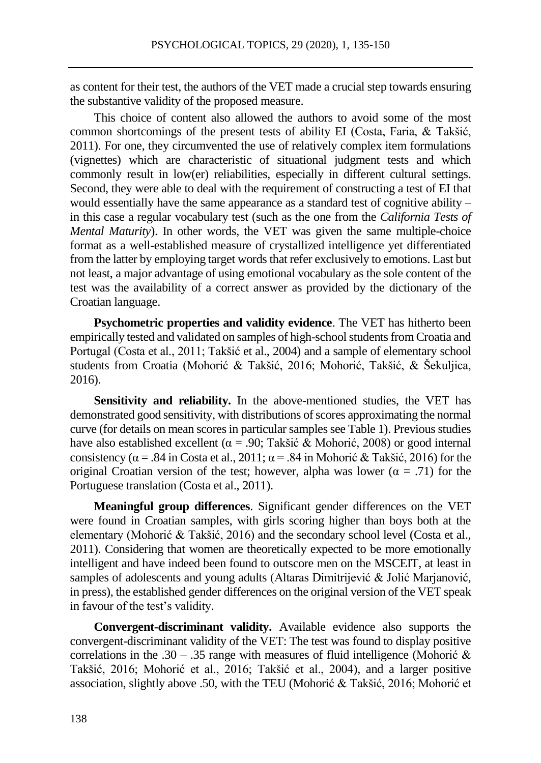as content for their test, the authors of the VET made a crucial step towards ensuring the substantive validity of the proposed measure.

This choice of content also allowed the authors to avoid some of the most common shortcomings of the present tests of ability EI (Costa, Faria, & Takšić, 2011). For one, they circumvented the use of relatively complex item formulations (vignettes) which are characteristic of situational judgment tests and which commonly result in low(er) reliabilities, especially in different cultural settings. Second, they were able to deal with the requirement of constructing a test of EI that would essentially have the same appearance as a standard test of cognitive ability – in this case a regular vocabulary test (such as the one from the *California Tests of Mental Maturity*). In other words, the VET was given the same multiple-choice format as a well-established measure of crystallized intelligence yet differentiated from the latter by employing target words that refer exclusively to emotions. Last but not least, a major advantage of using emotional vocabulary as the sole content of the test was the availability of a correct answer as provided by the dictionary of the Croatian language.

**Psychometric properties and validity evidence**. The VET has hitherto been empirically tested and validated on samples of high-school students from Croatia and Portugal (Costa et al., 2011; Takšić et al., 2004) and a sample of elementary school students from Croatia (Mohorić & Takšić, 2016; Mohorić, Takšić, & Šekuljica, 2016).

**Sensitivity and reliability.** In the above-mentioned studies, the VET has demonstrated good sensitivity, with distributions of scores approximating the normal curve (for details on mean scores in particular samples see Table 1). Previous studies have also established excellent ( $\alpha = .90$ ; Takšić & Mohorić, 2008) or good internal consistency ( $\alpha$  = .84 in Costa et al., 2011;  $\alpha$  = .84 in Mohorić & Takšić, 2016) for the original Croatian version of the test; however, alpha was lower ( $\alpha = .71$ ) for the Portuguese translation (Costa et al., 2011).

**Meaningful group differences**. Significant gender differences on the VET were found in Croatian samples, with girls scoring higher than boys both at the elementary (Mohorić & Takšić, 2016) and the secondary school level (Costa et al., 2011). Considering that women are theoretically expected to be more emotionally intelligent and have indeed been found to outscore men on the MSCEIT*,* at least in samples of adolescents and young adults (Altaras Dimitrijević & Jolić Marjanović, in press), the established gender differences on the original version of the VET speak in favour of the test's validity.

**Convergent-discriminant validity.** Available evidence also supports the convergent-discriminant validity of the VET: The test was found to display positive correlations in the .30 – .35 range with measures of fluid intelligence (Mohorić  $\&$ Takšić, 2016; Mohorić et al., 2016; Takšić et al., 2004), and a larger positive association, slightly above .50, with the TEU (Mohorić & Takšić, 2016; Mohorić et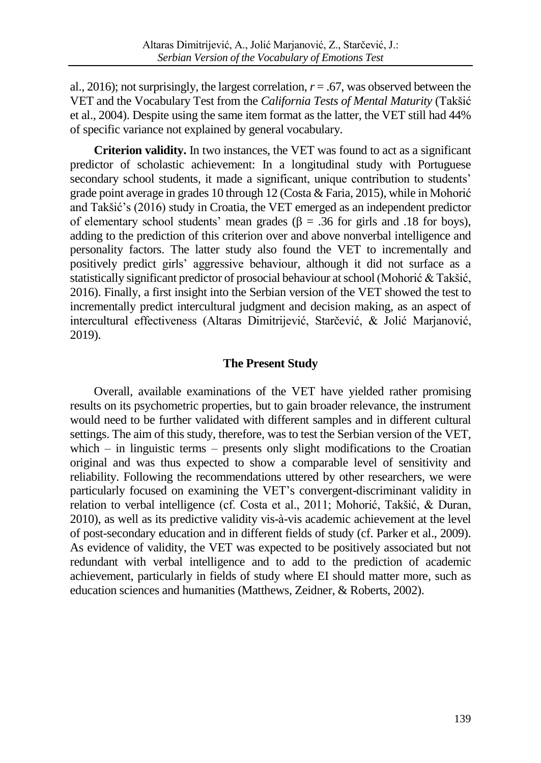al., 2016); not surprisingly, the largest correlation,  $r = .67$ , was observed between the VET and the Vocabulary Test from the *California Tests of Mental Maturity* (Takšić et al., 2004). Despite using the same item format as the latter, the VET still had 44% of specific variance not explained by general vocabulary.

**Criterion validity.** In two instances, the VET was found to act as a significant predictor of scholastic achievement: In a longitudinal study with Portuguese secondary school students, it made a significant, unique contribution to students' grade point average in grades 10 through 12 (Costa & Faria, 2015), while in Mohorić and Takšić's (2016) study in Croatia, the VET emerged as an independent predictor of elementary school students' mean grades ( $\beta = .36$  for girls and .18 for boys), adding to the prediction of this criterion over and above nonverbal intelligence and personality factors. The latter study also found the VET to incrementally and positively predict girls' aggressive behaviour, although it did not surface as a statistically significant predictor of prosocial behaviour at school (Mohorić & Takšić, 2016). Finally, a first insight into the Serbian version of the VET showed the test to incrementally predict intercultural judgment and decision making, as an aspect of intercultural effectiveness (Altaras Dimitrijević, Starčević, & Jolić Marjanović, 2019).

# **The Present Study**

Overall, available examinations of the VET have yielded rather promising results on its psychometric properties, but to gain broader relevance, the instrument would need to be further validated with different samples and in different cultural settings. The aim of this study, therefore, was to test the Serbian version of the VET, which – in linguistic terms – presents only slight modifications to the Croatian original and was thus expected to show a comparable level of sensitivity and reliability. Following the recommendations uttered by other researchers, we were particularly focused on examining the VET's convergent-discriminant validity in relation to verbal intelligence (cf. Costa et al., 2011; Mohorić, Takšić, & Duran, 2010), as well as its predictive validity vis-à-vis academic achievement at the level of post-secondary education and in different fields of study (cf. Parker et al., 2009). As evidence of validity, the VET was expected to be positively associated but not redundant with verbal intelligence and to add to the prediction of academic achievement, particularly in fields of study where EI should matter more, such as education sciences and humanities (Matthews, Zeidner, & Roberts, 2002).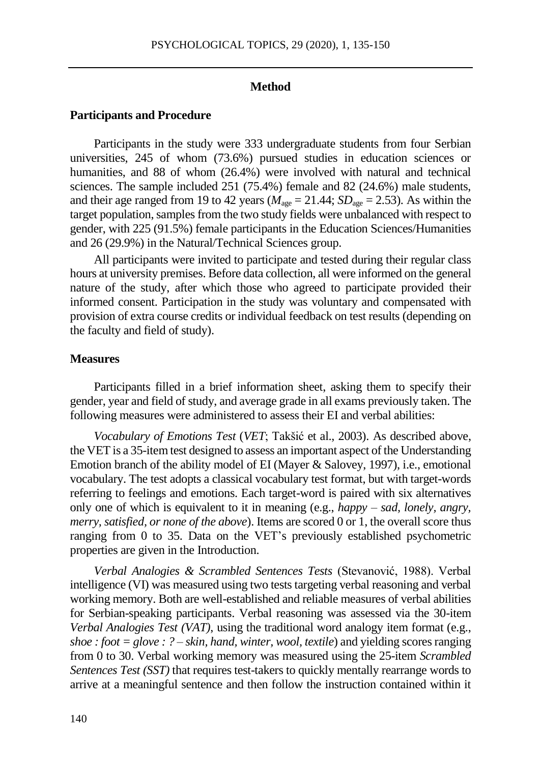#### **Method**

#### **Participants and Procedure**

Participants in the study were 333 undergraduate students from four Serbian universities, 245 of whom (73.6%) pursued studies in education sciences or humanities, and 88 of whom (26.4%) were involved with natural and technical sciences. The sample included 251 (75.4%) female and 82 (24.6%) male students, and their age ranged from 19 to 42 years ( $M_{\text{age}} = 21.44$ ;  $SD_{\text{age}} = 2.53$ ). As within the target population, samples from the two study fields were unbalanced with respect to gender, with 225 (91.5%) female participants in the Education Sciences/Humanities and 26 (29.9%) in the Natural/Technical Sciences group.

All participants were invited to participate and tested during their regular class hours at university premises. Before data collection, all were informed on the general nature of the study, after which those who agreed to participate provided their informed consent. Participation in the study was voluntary and compensated with provision of extra course credits or individual feedback on test results (depending on the faculty and field of study).

#### **Measures**

Participants filled in a brief information sheet, asking them to specify their gender, year and field of study, and average grade in all exams previously taken. The following measures were administered to assess their EI and verbal abilities:

*Vocabulary of Emotions Test* (*VET*; Takšić et al., 2003). As described above, the VET is a 35-item test designed to assess an important aspect of the Understanding Emotion branch of the ability model of EI (Mayer & Salovey, 1997), i.e., emotional vocabulary. The test adopts a classical vocabulary test format, but with target-words referring to feelings and emotions. Each target-word is paired with six alternatives only one of which is equivalent to it in meaning (e.g., *happy – sad, lonely, angry, merry, satisfied, or none of the above*). Items are scored 0 or 1, the overall score thus ranging from 0 to 35. Data on the VET's previously established psychometric properties are given in the Introduction.

*Verbal Analogies & Scrambled Sentences Tests* (Stevanović, 1988). Verbal intelligence (VI) was measured using two tests targeting verbal reasoning and verbal working memory. Both are well-established and reliable measures of verbal abilities for Serbian-speaking participants. Verbal reasoning was assessed via the 30-item *Verbal Analogies Test (VAT)*, using the traditional word analogy item format (e.g., *shoe : foot = glove : ? – skin, hand, winter, wool, textile*) and yielding scores ranging from 0 to 30. Verbal working memory was measured using the 25-item *Scrambled Sentences Test (SST)* that requires test-takers to quickly mentally rearrange words to arrive at a meaningful sentence and then follow the instruction contained within it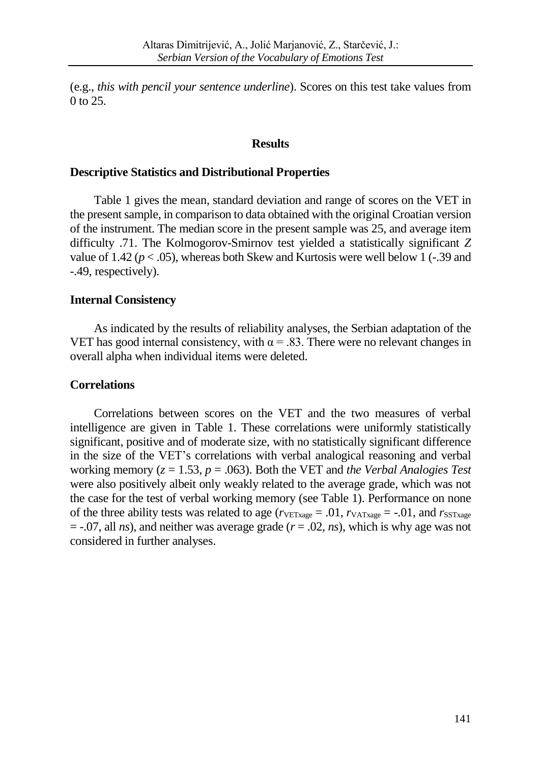(e.g., *this with pencil your sentence underline*). Scores on this test take values from 0 to 25.

## **Results**

## **Descriptive Statistics and Distributional Properties**

Table 1 gives the mean, standard deviation and range of scores on the VET in the present sample, in comparison to data obtained with the original Croatian version of the instrument. The median score in the present sample was 25, and average item difficulty .71. The Kolmogorov-Smirnov test yielded a statistically significant *Z* value of  $1.42 (p < .05)$ , whereas both Skew and Kurtosis were well below 1 ( $-.39$  and -.49, respectively).

# **Internal Consistency**

As indicated by the results of reliability analyses, the Serbian adaptation of the VET has good internal consistency, with  $\alpha = .83$ . There were no relevant changes in overall alpha when individual items were deleted.

# **Correlations**

Correlations between scores on the VET and the two measures of verbal intelligence are given in Table 1. These correlations were uniformly statistically significant, positive and of moderate size, with no statistically significant difference in the size of the VET's correlations with verbal analogical reasoning and verbal working memory  $(z = 1.53, p = .063)$ . Both the VET and *the Verbal Analogies Test* were also positively albeit only weakly related to the average grade, which was not the case for the test of verbal working memory (see Table 1). Performance on none of the three ability tests was related to age ( $r_{VETxage} = .01$ ,  $r_{VATxage} = -.01$ , and  $r_{SSTxage}$  $=$  -.07, all *ns*), and neither was average grade ( $r = .02$ , *ns*), which is why age was not considered in further analyses.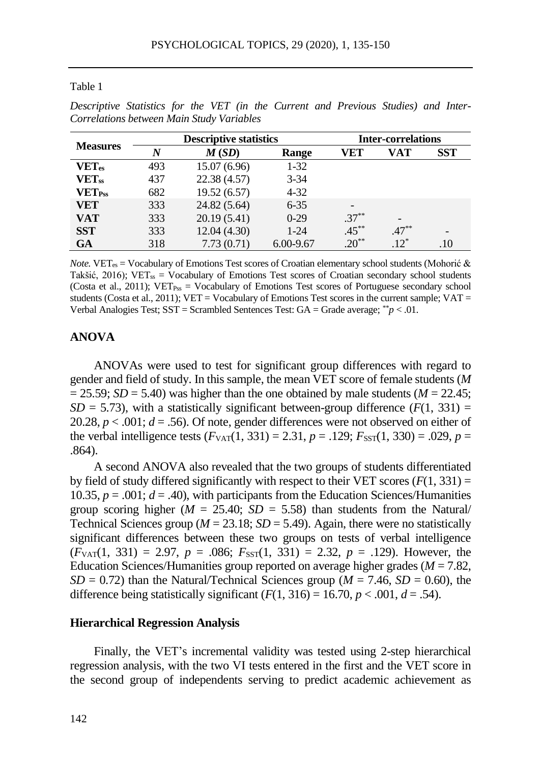#### Table 1

| <b>Measures</b> | <b>Descriptive statistics</b> |              |               | <b>Inter-correlations</b> |                          |                          |
|-----------------|-------------------------------|--------------|---------------|---------------------------|--------------------------|--------------------------|
|                 | N                             | M(SD)        | Range         | VET                       | VAT                      | <b>SST</b>               |
| $VET_{es}$      | 493                           | 15.07(6.96)  | $1 - 32$      |                           |                          |                          |
| $VET_{ss}$      | 437                           | 22.38 (4.57) | $3 - 34$      |                           |                          |                          |
| <b>VETPSS</b>   | 682                           | 19.52(6.57)  | $4 - 32$      |                           |                          |                          |
| <b>VET</b>      | 333                           | 24.82 (5.64) | $6 - 35$      |                           |                          |                          |
| <b>VAT</b>      | 333                           | 20.19(5.41)  | $0-29$        | $.37***$                  | $\overline{\phantom{a}}$ |                          |
| <b>SST</b>      | 333                           | 12.04(4.30)  | $1 - 24$      | $.45***$                  | $.47**$                  | $\overline{\phantom{a}}$ |
| <b>GA</b>       | 318                           | 7.73(0.71)   | $6.00 - 9.67$ | $.20***$                  | $.12*$                   | .10                      |

*Descriptive Statistics for the VET (in the Current and Previous Studies) and Inter-Correlations between Main Study Variables*

*Note.* VET<sub>es</sub> = Vocabulary of Emotions Test scores of Croatian elementary school students (Mohorić & Takšić, 2016); VET<sub>ss</sub> = Vocabulary of Emotions Test scores of Croatian secondary school students (Costa et al., 2011); VET<sub>Pss</sub> = Vocabulary of Emotions Test scores of Portuguese secondary school students (Costa et al., 2011); VET = Vocabulary of Emotions Test scores in the current sample; VAT = Verbal Analogies Test; SST = Scrambled Sentences Test: GA = Grade average; \*\**p* < .01.

## **ANOVA**

ANOVAs were used to test for significant group differences with regard to gender and field of study. In this sample, the mean VET score of female students (*M*  $= 25.59$ ; *SD* = 5.40) was higher than the one obtained by male students (*M* = 22.45;  $SD = 5.73$ ), with a statistically significant between-group difference ( $F(1, 331) =$ 20.28,  $p < .001$ ;  $d = .56$ ). Of note, gender differences were not observed on either of the verbal intelligence tests  $(F_{VAT}(1, 331) = 2.31, p = .129; F_{SST}(1, 330) = .029, p = .029$ .864).

A second ANOVA also revealed that the two groups of students differentiated by field of study differed significantly with respect to their VET scores  $(F(1, 331) =$ 10.35,  $p = .001$ ;  $d = .40$ ), with participants from the Education Sciences/Humanities group scoring higher ( $M = 25.40$ ;  $SD = 5.58$ ) than students from the Natural/ Technical Sciences group ( $M = 23.18$ ;  $SD = 5.49$ ). Again, there were no statistically significant differences between these two groups on tests of verbal intelligence  $(F<sub>VAT</sub>(1, 331) = 2.97, p = .086; F<sub>SST</sub>(1, 331) = 2.32, p = .129$ . However, the Education Sciences/Humanities group reported on average higher grades (*M* = 7.82,  $SD = 0.72$ ) than the Natural/Technical Sciences group ( $M = 7.46$ ,  $SD = 0.60$ ), the difference being statistically significant  $(F(1, 316) = 16.70, p < .001, d = .54)$ .

### **Hierarchical Regression Analysis**

Finally, the VET's incremental validity was tested using 2-step hierarchical regression analysis, with the two VI tests entered in the first and the VET score in the second group of independents serving to predict academic achievement as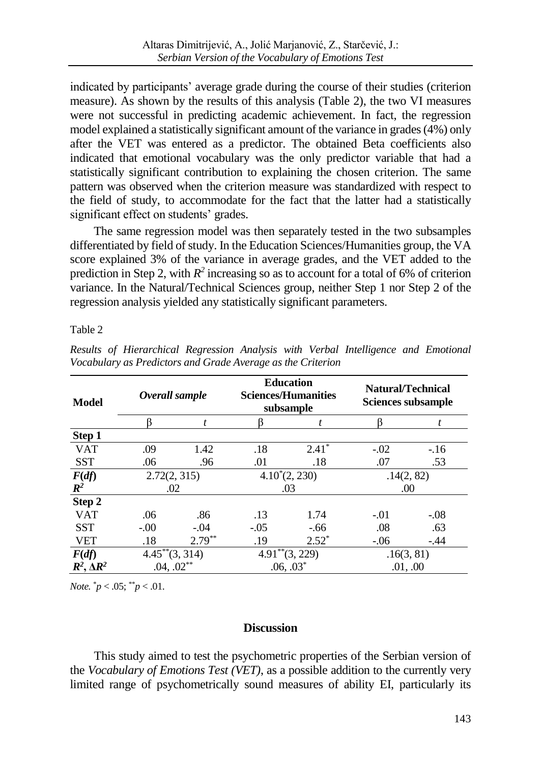indicated by participants' average grade during the course of their studies (criterion measure). As shown by the results of this analysis (Table 2), the two VI measures were not successful in predicting academic achievement. In fact, the regression model explained a statistically significant amount of the variance in grades(4%) only after the VET was entered as a predictor. The obtained Beta coefficients also indicated that emotional vocabulary was the only predictor variable that had a statistically significant contribution to explaining the chosen criterion. The same pattern was observed when the criterion measure was standardized with respect to the field of study, to accommodate for the fact that the latter had a statistically significant effect on students' grades.

The same regression model was then separately tested in the two subsamples differentiated by field of study. In the Education Sciences/Humanities group, the VA score explained 3% of the variance in average grades, and the VET added to the prediction in Step 2, with  $R^2$  increasing so as to account for a total of 6% of criterion variance. In the Natural/Technical Sciences group, neither Step 1 nor Step 2 of the regression analysis yielded any statistically significant parameters.

Table 2

| Model                |                           | Overall sample |                     | <b>Education</b><br><b>Sciences/Humanities</b><br>subsample |            | Natural/Technical<br>Sciences subsample |  |
|----------------------|---------------------------|----------------|---------------------|-------------------------------------------------------------|------------|-----------------------------------------|--|
|                      |                           | t              |                     | t                                                           |            | t                                       |  |
| Step 1               |                           |                |                     |                                                             |            |                                         |  |
| <b>VAT</b>           | .09                       | 1.42           | .18                 | $2.41*$                                                     | $-.02$     | $-16$                                   |  |
| <b>SST</b>           | .06                       | .96            | .01                 | .18                                                         | .07        | .53                                     |  |
| F(df)                |                           | 2.72(2, 315)   |                     | $4.10^{*}(2, 230)$                                          |            | .14(2, 82)                              |  |
| $\mathbb{R}^2$       |                           | .02            |                     | .03                                                         |            | .00                                     |  |
| Step 2               |                           |                |                     |                                                             |            |                                         |  |
| <b>VAT</b>           | .06                       | .86            | .13                 | 1.74                                                        | $-.01$     | $-.08$                                  |  |
| <b>SST</b>           | $-.00$                    | $-.04$         | $-.05$              | $-.66$                                                      | .08        | .63                                     |  |
| <b>VET</b>           | .18                       | $2.79***$      | .19                 | $2.52*$                                                     | $-.06$     | $-.44$                                  |  |
| F(df)                | $4.45^{\ast\ast}(3, 314)$ |                | $4.91^{**}(3, 229)$ |                                                             | .16(3, 81) |                                         |  |
| $R^2$ , $\Delta R^2$ | $.04, .02$ **             |                | $.06, .03^*$        |                                                             | .01, .00   |                                         |  |

*Results of Hierarchical Regression Analysis with Verbal Intelligence and Emotional Vocabulary as Predictors and Grade Average as the Criterion*

*Note.*  $^*p < .05$ ;  $^*p < .01$ .

# **Discussion**

This study aimed to test the psychometric properties of the Serbian version of the *Vocabulary of Emotions Test (VET)*, as a possible addition to the currently very limited range of psychometrically sound measures of ability EI, particularly its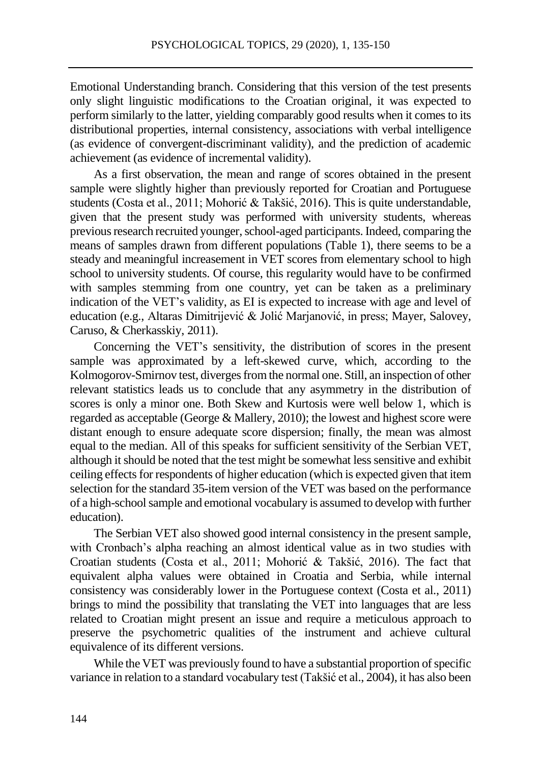Emotional Understanding branch. Considering that this version of the test presents only slight linguistic modifications to the Croatian original, it was expected to perform similarly to the latter, yielding comparably good results when it comes to its distributional properties, internal consistency, associations with verbal intelligence (as evidence of convergent-discriminant validity), and the prediction of academic achievement (as evidence of incremental validity).

As a first observation, the mean and range of scores obtained in the present sample were slightly higher than previously reported for Croatian and Portuguese students (Costa et al., 2011; Mohorić & Takšić, 2016). This is quite understandable, given that the present study was performed with university students, whereas previous research recruited younger, school-aged participants. Indeed, comparing the means of samples drawn from different populations (Table 1), there seems to be a steady and meaningful increasement in VET scores from elementary school to high school to university students. Of course, this regularity would have to be confirmed with samples stemming from one country, yet can be taken as a preliminary indication of the VET's validity, as EI is expected to increase with age and level of education (e.g., Altaras Dimitrijević & Jolić Marjanović, in press; Mayer, Salovey, Caruso, & Cherkasskiy, 2011).

Concerning the VET's sensitivity, the distribution of scores in the present sample was approximated by a left-skewed curve, which, according to the Kolmogorov-Smirnov test, diverges from the normal one. Still, an inspection of other relevant statistics leads us to conclude that any asymmetry in the distribution of scores is only a minor one. Both Skew and Kurtosis were well below 1, which is regarded as acceptable (George & Mallery, 2010); the lowest and highest score were distant enough to ensure adequate score dispersion; finally, the mean was almost equal to the median. All of this speaks for sufficient sensitivity of the Serbian VET, although it should be noted that the test might be somewhat less sensitive and exhibit ceiling effects for respondents of higher education (which is expected given that item selection for the standard 35-item version of the VET was based on the performance of a high-school sample and emotional vocabulary is assumed to develop with further education).

The Serbian VET also showed good internal consistency in the present sample, with Cronbach's alpha reaching an almost identical value as in two studies with Croatian students (Costa et al., 2011; Mohorić & Takšić, 2016). The fact that equivalent alpha values were obtained in Croatia and Serbia, while internal consistency was considerably lower in the Portuguese context (Costa et al., 2011) brings to mind the possibility that translating the VET into languages that are less related to Croatian might present an issue and require a meticulous approach to preserve the psychometric qualities of the instrument and achieve cultural equivalence of its different versions.

While the VET was previously found to have a substantial proportion of specific variance in relation to a standard vocabulary test (Takšić et al., 2004), it has also been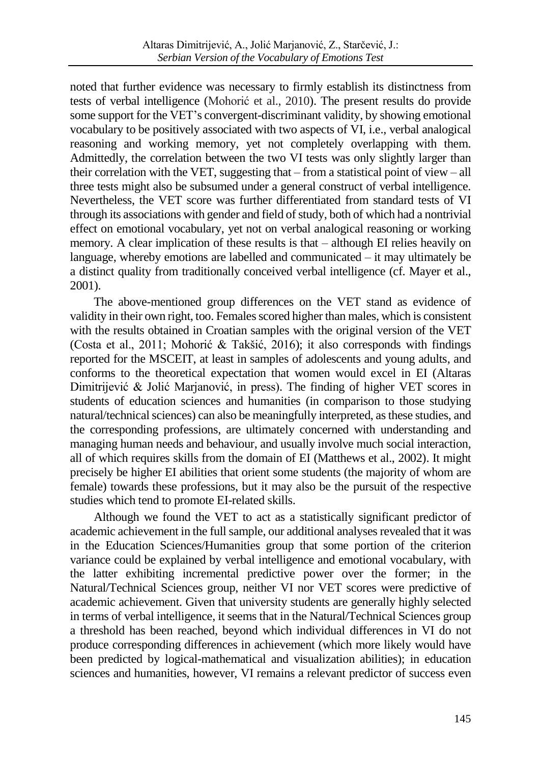noted that further evidence was necessary to firmly establish its distinctness from tests of verbal intelligence (Mohorić et al., 2010). The present results do provide some support for the VET's convergent-discriminant validity, by showing emotional vocabulary to be positively associated with two aspects of VI, i.e., verbal analogical reasoning and working memory, yet not completely overlapping with them. Admittedly, the correlation between the two VI tests was only slightly larger than their correlation with the VET, suggesting that – from a statistical point of view – all three tests might also be subsumed under a general construct of verbal intelligence. Nevertheless, the VET score was further differentiated from standard tests of VI through its associations with gender and field of study, both of which had a nontrivial effect on emotional vocabulary, yet not on verbal analogical reasoning or working memory. A clear implication of these results is that – although EI relies heavily on language, whereby emotions are labelled and communicated – it may ultimately be a distinct quality from traditionally conceived verbal intelligence (cf. Mayer et al., 2001).

The above-mentioned group differences on the VET stand as evidence of validity in their own right, too. Females scored higher than males, which is consistent with the results obtained in Croatian samples with the original version of the VET (Costa et al., 2011; Mohorić & Takšić, 2016); it also corresponds with findings reported for the MSCEIT, at least in samples of adolescents and young adults, and conforms to the theoretical expectation that women would excel in EI (Altaras Dimitrijević & Jolić Marjanović, in press). The finding of higher VET scores in students of education sciences and humanities (in comparison to those studying natural/technical sciences) can also be meaningfully interpreted, asthese studies, and the corresponding professions, are ultimately concerned with understanding and managing human needs and behaviour, and usually involve much social interaction, all of which requires skills from the domain of EI (Matthews et al., 2002). It might precisely be higher EI abilities that orient some students (the majority of whom are female) towards these professions, but it may also be the pursuit of the respective studies which tend to promote EI-related skills.

Although we found the VET to act as a statistically significant predictor of academic achievement in the full sample, our additional analyses revealed that it was in the Education Sciences/Humanities group that some portion of the criterion variance could be explained by verbal intelligence and emotional vocabulary, with the latter exhibiting incremental predictive power over the former; in the Natural/Technical Sciences group, neither VI nor VET scores were predictive of academic achievement. Given that university students are generally highly selected in terms of verbal intelligence, it seems that in the Natural/Technical Sciences group a threshold has been reached, beyond which individual differences in VI do not produce corresponding differences in achievement (which more likely would have been predicted by logical-mathematical and visualization abilities); in education sciences and humanities, however, VI remains a relevant predictor of success even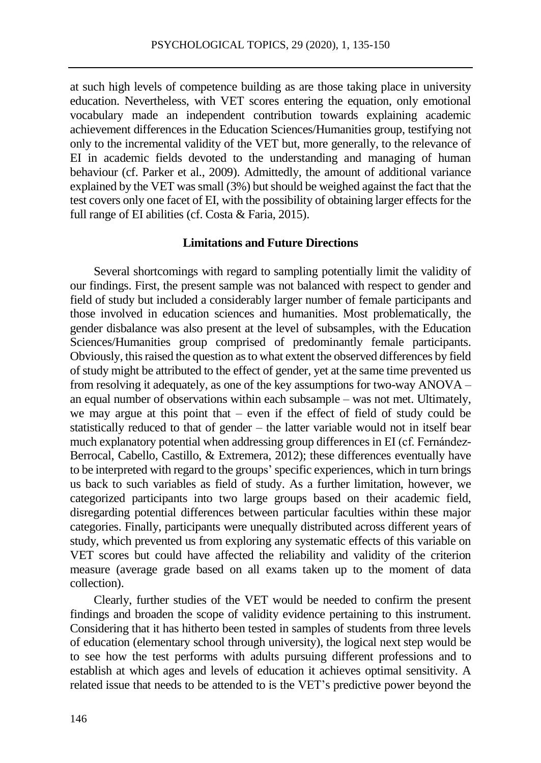at such high levels of competence building as are those taking place in university education. Nevertheless, with VET scores entering the equation, only emotional vocabulary made an independent contribution towards explaining academic achievement differences in the Education Sciences/Humanities group, testifying not only to the incremental validity of the VET but, more generally, to the relevance of EI in academic fields devoted to the understanding and managing of human behaviour (cf. Parker et al., 2009). Admittedly, the amount of additional variance explained by the VET was small (3%) but should be weighed against the fact that the test covers only one facet of EI, with the possibility of obtaining larger effects for the full range of EI abilities (cf. Costa & Faria, 2015).

# **Limitations and Future Directions**

Several shortcomings with regard to sampling potentially limit the validity of our findings. First, the present sample was not balanced with respect to gender and field of study but included a considerably larger number of female participants and those involved in education sciences and humanities. Most problematically, the gender disbalance was also present at the level of subsamples, with the Education Sciences/Humanities group comprised of predominantly female participants. Obviously, this raised the question asto what extent the observed differences by field of study might be attributed to the effect of gender, yet at the same time prevented us from resolving it adequately, as one of the key assumptions for two-way ANOVA – an equal number of observations within each subsample – was not met. Ultimately, we may argue at this point that – even if the effect of field of study could be statistically reduced to that of gender – the latter variable would not in itself bear much explanatory potential when addressing group differences in EI (cf. Fernández-Berrocal, Cabello, Castillo, & Extremera, 2012); these differences eventually have to be interpreted with regard to the groups'specific experiences, which in turn brings us back to such variables as field of study. As a further limitation, however, we categorized participants into two large groups based on their academic field, disregarding potential differences between particular faculties within these major categories. Finally, participants were unequally distributed across different years of study, which prevented us from exploring any systematic effects of this variable on VET scores but could have affected the reliability and validity of the criterion measure (average grade based on all exams taken up to the moment of data collection).

Clearly, further studies of the VET would be needed to confirm the present findings and broaden the scope of validity evidence pertaining to this instrument. Considering that it has hitherto been tested in samples of students from three levels of education (elementary school through university), the logical next step would be to see how the test performs with adults pursuing different professions and to establish at which ages and levels of education it achieves optimal sensitivity. A related issue that needs to be attended to is the VET's predictive power beyond the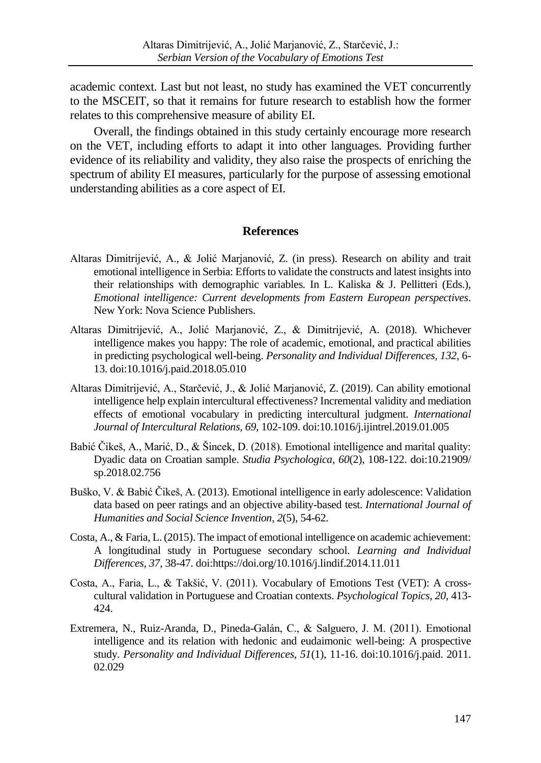academic context. Last but not least, no study has examined the VET concurrently to the MSCEIT*,* so that it remains for future research to establish how the former relates to this comprehensive measure of ability EI.

Overall, the findings obtained in this study certainly encourage more research on the VET, including efforts to adapt it into other languages*.* Providing further evidence of its reliability and validity, they also raise the prospects of enriching the spectrum of ability EI measures, particularly for the purpose of assessing emotional understanding abilities as a core aspect of EI.

# **References**

- Altaras Dimitrijević, A., & Jolić Marjanović, Z. (in press). Research on ability and trait emotional intelligence in Serbia: Efforts to validate the constructs and latest insights into their relationships with demographic variables. In L. Kaliska & J. Pellitteri (Eds.), *Emotional intelligence: Current developments from Eastern European perspectives*. New York: Nova Science Publishers.
- Altaras Dimitrijević, A., Jolić Marjanović, Z., & Dimitrijević, A. (2018). Whichever intelligence makes you happy: The role of academic, emotional, and practical abilities in predicting psychological well-being. *Personality and Individual Differences, 132,* 6- 13. [doi:10.1016/j.paid.2018.05.010](https://doi.org/10.1016/j.paid.2018.05.010)
- Altaras Dimitrijević, A., Starčević, J., & Jolić Marjanović, Z. (2019). Can ability emotional intelligence help explain intercultural effectiveness? Incremental validity and mediation effects of emotional vocabulary in predicting intercultural judgment. *International Journal of Intercultural Relations, 69,* 102-109. doi:10.1016/j.ijintrel.2019.01.005
- Babić Čikeš, A., Marić, D., & Šincek, D. (2018). Emotional intelligence and marital quality: Dyadic data on Croatian sample. *Studia Psychologica*, *60*(2), 108-122. doi:10.21909/ sp.2018.02.756
- Buško, V. & Babić Čikeš, A. (2013). Emotional intelligence in early adolescence: Validation data based on peer ratings and an objective ability-based test. *International Journal of Humanities and Social Science Invention*, *2*(5), 54-62.
- Costa, A., & Faria, L. (2015). The impact of emotional intelligence on academic achievement: A longitudinal study in Portuguese secondary school. *Learning and Individual Differences, 37,* 38-47. doi:https://doi.org/10.1016/j.lindif.2014.11.011
- Costa, A., Faria, L., & Takšić, V. (2011). Vocabulary of Emotions Test (VET): A crosscultural validation in Portuguese and Croatian contexts. *Psychological Topics*, *20*, 413- 424.
- Extremera, N., Ruiz-Aranda, D., Pineda-Galán, C., & Salguero, J. M. (2011). Emotional intelligence and its relation with hedonic and eudaimonic well-being: A prospective study. *Personality and Individual Differences, 51*(1), 11-16. doi:10.1016/j.paid. 2011. 02.029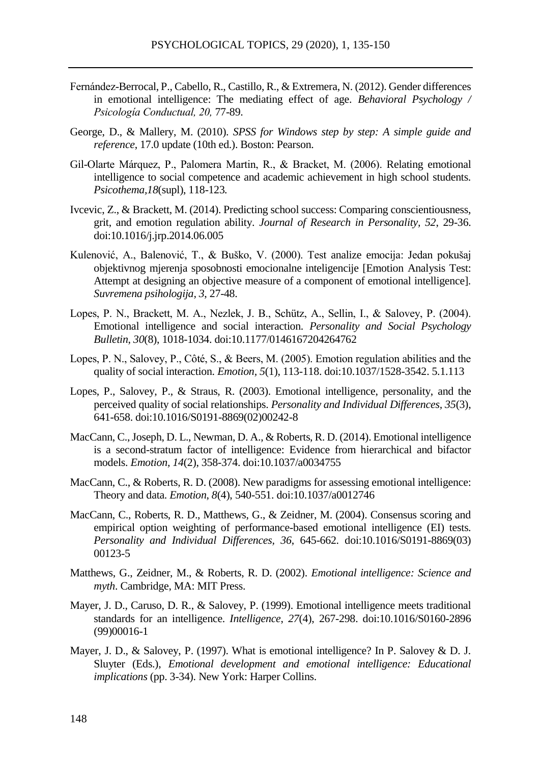- Fernández-Berrocal, P., Cabello, R., Castillo, R., & Extremera, N. (2012). Gender differences in emotional intelligence: The mediating effect of age. *Behavioral Psychology / Psicología Conductual, 20,* 77-89.
- George, D., & Mallery, M. (2010). *SPSS for Windows step by step: A simple guide and reference*, 17.0 update (10th ed.). Boston: Pearson.
- Gil-Olarte Márquez, P., Palomera Martin, R., & Bracket, M. (2006). Relating emotional intelligence to social competence and academic achievement in high school students. *Psicothema,18*(supl), 118-123*.*
- Ivcevic, Z., & Brackett, M. (2014). Predicting school success: Comparing conscientiousness, grit, and emotion regulation ability. *Journal of Research in Personality, 52*, 29-36. doi:10.1016/j.jrp.2014.06.005
- Kulenović, A., Balenović, T., & Buško, V. (2000). Test analize emocija: Jedan pokušaj objektivnog mjerenja sposobnosti emocionalne inteligencije [Emotion Analysis Test: Attempt at designing an objective measure of a component of emotional intelligence]. *Suvremena psihologija, 3*, 27-48.
- Lopes, P. N., Brackett, M. A., Nezlek, J. B., Schütz, A., Sellin, I., & Salovey, P. (2004). Emotional intelligence and social interaction. *Personality and Social Psychology Bulletin*, *30*(8), 1018-1034. doi:10.1177/0146167204264762
- Lopes, P. N., Salovey, P., Côté, S., & Beers, M. (2005). Emotion regulation abilities and the quality of social interaction. *Emotion, 5*(1), 113-118. doi:10.1037/1528-3542. 5.1.113
- Lopes, P., Salovey, P., & Straus, R. (2003). Emotional intelligence, personality, and the perceived quality of social relationships. *Personality and Individual Differences, 35*(3), 641-658. doi:10.1016/S0191-8869(02)00242-8
- MacCann, C., Joseph, D. L., Newman, D. A., & Roberts, R. D. (2014). Emotional intelligence is a second-stratum factor of intelligence: Evidence from hierarchical and bifactor models. *Emotion, 14*(2), 358-374. doi:10.1037/a0034755
- MacCann, C., & Roberts, R. D. (2008). New paradigms for assessing emotional intelligence: Theory and data. *Emotion*, *8*(4), 540-551. doi:10.1037/a0012746
- MacCann, C., Roberts, R. D., Matthews, G., & Zeidner, M. (2004). Consensus scoring and empirical option weighting of performance-based emotional intelligence (EI) tests. *Personality and Individual Differences, 36*, 645-662. doi:10.1016/S0191-8869(03) 00123-5
- Matthews, G., Zeidner, M., & Roberts, R. D. (2002). *Emotional intelligence: Science and myth*. Cambridge, MA: MIT Press.
- Mayer, J. D., Caruso, D. R., & Salovey, P. (1999). Emotional intelligence meets traditional standards for an intelligence. *Intelligence*, *27*(4), 267-298. doi:10.1016/S0160-2896 (99)00016-1
- Mayer, J. D., & Salovey, P. (1997). What is emotional intelligence? In P. Salovey & D. J. Sluyter (Eds.), *Emotional development and emotional intelligence: Educational implications* (pp. 3-34). New York: Harper Collins.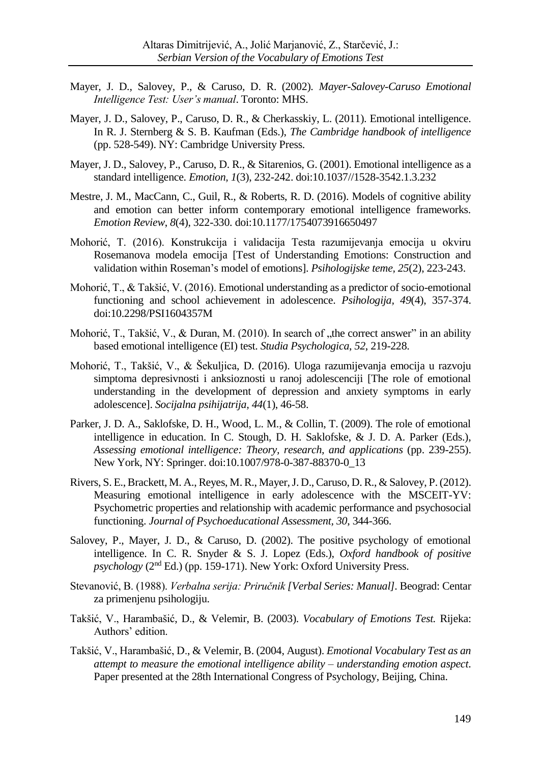- Mayer, J. D., Salovey, P., & Caruso, D. R. (2002). *Mayer-Salovey-Caruso Emotional Intelligence Test: User's manual*. Toronto: MHS.
- Mayer, J. D., Salovey, P., Caruso, D. R., & Cherkasskiy, L. (2011). Emotional intelligence. In R. J. Sternberg & S. B. Kaufman (Eds.), *The Cambridge handbook of intelligence* (pp. 528-549). NY: Cambridge University Press.
- Mayer, J. D., Salovey, P., Caruso, D. R., & Sitarenios, G. (2001). Emotional intelligence as a standard intelligence. *Emotion, 1*(3), 232-242. doi:10.1037//1528-3542.1.3.232
- Mestre, J. M., MacCann, C., Guil, R., & Roberts, R. D. (2016). Models of cognitive ability and emotion can better inform contemporary emotional intelligence frameworks. *Emotion Review*, *8*(4), 322-330. doi[:10.1177/1754073916650497](https://doi.org/10.1177/1754073916650497)
- Mohorić, T. (2016). Konstrukcija i validacija Testa razumijevanja emocija u okviru Rosemanova modela emocija [Test of Understanding Emotions: Construction and validation within Roseman's model of emotions]. *Psihologijske teme, 25*(2), 223-243.
- Mohorić, T., & Takšić, V. (2016). Emotional understanding as a predictor of socio-emotional functioning and school achievement in adolescence. *Psihologija, 49*(4), 357-374. doi:10.2298/PSI1604357M
- Mohorić, T., Takšić, V., & Duran, M. (2010). In search of  $f$ , the correct answer" in an ability based emotional intelligence (EI) test. *Studia Psychologica*, *52*, 219-228.
- Mohorić, T., Takšić, V., & Šekuljica, D. (2016). Uloga razumijevanja emocija u razvoju simptoma depresivnosti i anksioznosti u ranoj adolescenciji [The role of emotional understanding in the development of depression and anxiety symptoms in early adolescence]. *Socijalna psihijatrija, 44*(1), 46-58.
- Parker, J. D. A., Saklofske, D. H., Wood, L. M., & Collin, T. (2009). The role of emotional intelligence in education. In C. Stough, D. H. Saklofske, & J. D. A. Parker (Eds.), *Assessing emotional intelligence: Theory, research, and applications* (pp. 239-255). New York, NY: Springer. doi:10.1007/978-0-387-88370-0\_13
- Rivers, S. E., Brackett, M. A., Reyes, M. R., Mayer, J. D., Caruso, D. R., & Salovey, P. (2012). Measuring emotional intelligence in early adolescence with the MSCEIT-YV: Psychometric properties and relationship with academic performance and psychosocial functioning. *Journal of Psychoeducational Assessment, 30*, 344-366.
- Salovey, P., Mayer, J. D., & Caruso, D. (2002). The positive psychology of emotional intelligence. In C. R. Snyder & S. J. Lopez (Eds.), *Oxford handbook of positive*  psychology (2<sup>nd</sup> Ed.) (pp. 159-171). New York: Oxford University Press.
- Stevanović, B. (1988). *Verbalna serija: Priručnik [Verbal Series: Manual].* Beograd: Centar za primenjenu psihologiju.
- Takšić, V., Harambašić, D., & Velemir, B. (2003). *Vocabulary of Emotions Test.* Rijeka: Authors' edition.
- Takšić, V., Harambašić, D., & Velemir, B. (2004, August). *Emotional Vocabulary Test as an attempt to measure the emotional intelligence ability – understanding emotion aspect*. Paper presented at the 28th International Congress of Psychology, Beijing, China.